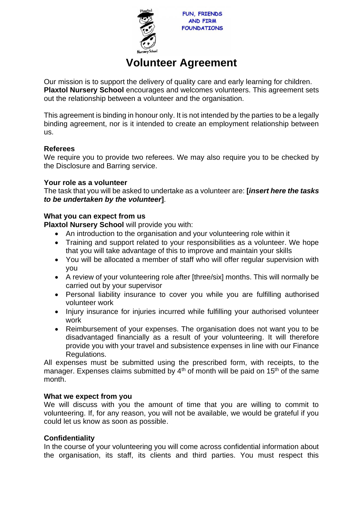

**FUN, FRIENDS AND FIRM FOUNDATIONS** 

# **Volunteer Agreement**

Our mission is to support the delivery of quality care and early learning for children. **Plaxtol Nursery School** encourages and welcomes volunteers. This agreement sets out the relationship between a volunteer and the organisation.

This agreement is binding in honour only. It is not intended by the parties to be a legally binding agreement, nor is it intended to create an employment relationship between us.

## **Referees**

We require you to provide two referees. We may also require you to be checked by the Disclosure and Barring service.

## **Your role as a volunteer**

The task that you will be asked to undertake as a volunteer are: **[***insert here the tasks to be undertaken by the volunteer***]**.

## **What you can expect from us**

**Plaxtol Nursery School** will provide you with:

- An introduction to the organisation and your volunteering role within it
- Training and support related to your responsibilities as a volunteer. We hope that you will take advantage of this to improve and maintain your skills
- You will be allocated a member of staff who will offer regular supervision with you
- A review of your volunteering role after [three/six] months. This will normally be carried out by your supervisor
- Personal liability insurance to cover you while you are fulfilling authorised volunteer work
- Injury insurance for injuries incurred while fulfilling your authorised volunteer work
- Reimbursement of your expenses. The organisation does not want you to be disadvantaged financially as a result of your volunteering. It will therefore provide you with your travel and subsistence expenses in line with our Finance Regulations.

All expenses must be submitted using the prescribed form, with receipts, to the manager. Expenses claims submitted by  $4<sup>th</sup>$  of month will be paid on 15<sup>th</sup> of the same month.

## **What we expect from you**

We will discuss with you the amount of time that you are willing to commit to volunteering. If, for any reason, you will not be available, we would be grateful if you could let us know as soon as possible.

## **Confidentiality**

In the course of your volunteering you will come across confidential information about the organisation, its staff, its clients and third parties. You must respect this